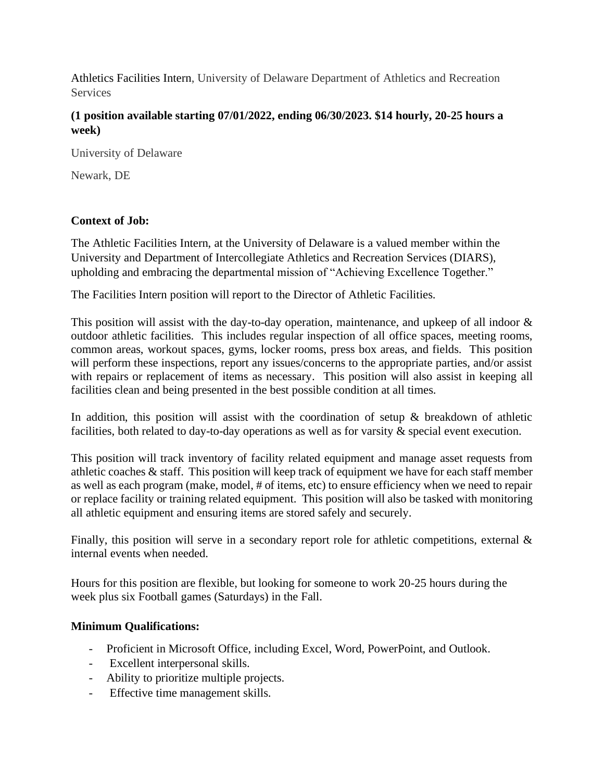Athletics Facilities Intern, University of Delaware Department of Athletics and Recreation Services

## **(1 position available starting 07/01/2022, ending 06/30/2023. \$14 hourly, 20-25 hours a week)**

University of Delaware

Newark, DE

## **Context of Job:**

The Athletic Facilities Intern, at the University of Delaware is a valued member within the University and Department of Intercollegiate Athletics and Recreation Services (DIARS), upholding and embracing the departmental mission of "Achieving Excellence Together."

The Facilities Intern position will report to the Director of Athletic Facilities.

This position will assist with the day-to-day operation, maintenance, and upkeep of all indoor  $\&$ outdoor athletic facilities. This includes regular inspection of all office spaces, meeting rooms, common areas, workout spaces, gyms, locker rooms, press box areas, and fields. This position will perform these inspections, report any issues/concerns to the appropriate parties, and/or assist with repairs or replacement of items as necessary. This position will also assist in keeping all facilities clean and being presented in the best possible condition at all times.

In addition, this position will assist with the coordination of setup  $\&$  breakdown of athletic facilities, both related to day-to-day operations as well as for varsity & special event execution.

This position will track inventory of facility related equipment and manage asset requests from athletic coaches & staff. This position will keep track of equipment we have for each staff member as well as each program (make, model, # of items, etc) to ensure efficiency when we need to repair or replace facility or training related equipment. This position will also be tasked with monitoring all athletic equipment and ensuring items are stored safely and securely.

Finally, this position will serve in a secondary report role for athletic competitions, external  $\&$ internal events when needed.

Hours for this position are flexible, but looking for someone to work 20-25 hours during the week plus six Football games (Saturdays) in the Fall.

## **Minimum Qualifications:**

- Proficient in Microsoft Office, including Excel, Word, PowerPoint, and Outlook.
- Excellent interpersonal skills.
- Ability to prioritize multiple projects.
- Effective time management skills.